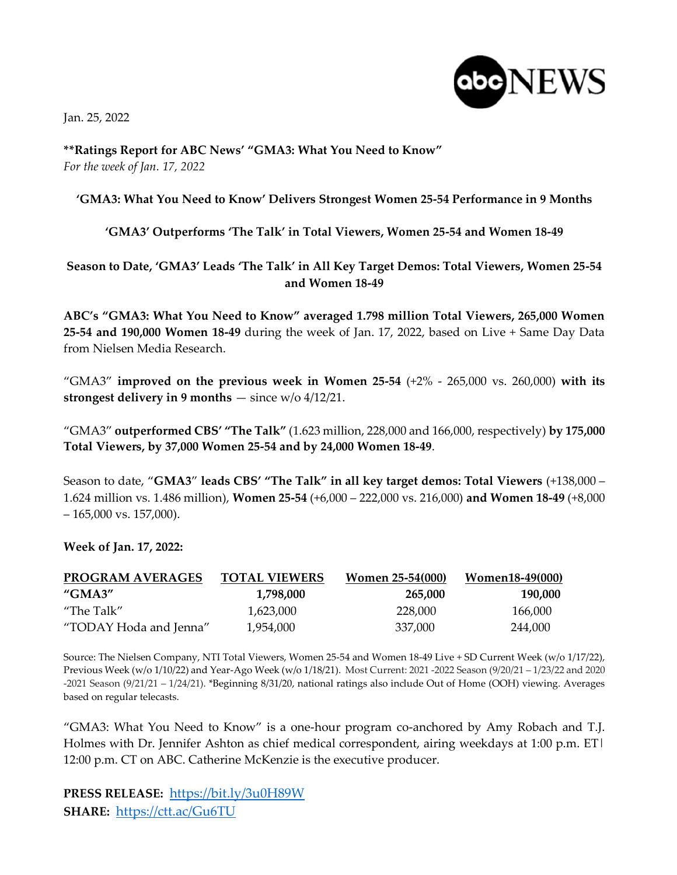Jan. 25, 2022



**\*\*Ratings Report for ABC News' "GMA3: What You Need to Know"** *For the week of Jan. 17, 2022*

## **'GMA3: What You Need to Know' Delivers Strongest Women 25-54 Performance in 9 Months**

## **'GMA3' Outperforms 'The Talk' in Total Viewers, Women 25-54 and Women 18-49**

## **Season to Date, 'GMA3' Leads 'The Talk' in All Key Target Demos: Total Viewers, Women 25-54 and Women 18-49**

**ABC's "GMA3: What You Need to Know" averaged 1.798 million Total Viewers, 265,000 Women 25-54 and 190,000 Women 18-49** during the week of Jan. 17, 2022, based on Live + Same Day Data from Nielsen Media Research.

"GMA3" **improved on the previous week in Women 25-54** (+2% - 265,000 vs. 260,000) **with its strongest delivery in 9 months** — since w/o 4/12/21.

"GMA3" **outperformed CBS' "The Talk"** (1.623 million, 228,000 and 166,000, respectively) **by 175,000 Total Viewers, by 37,000 Women 25-54 and by 24,000 Women 18-49**.

Season to date, "**GMA3**" **leads CBS' "The Talk" in all key target demos: Total Viewers** (+138,000 – 1.624 million vs. 1.486 million), **Women 25-54** (+6,000 – 222,000 vs. 216,000) **and Women 18-49** (+8,000  $-165,000$  vs. 157,000).

**Week of Jan. 17, 2022:**

| <b>PROGRAM AVERAGES</b><br>"GMA3" | <b>TOTAL VIEWERS</b><br>1.798.000 | <b>Women 25-54(000)</b><br>265,000 | Women18-49(000)<br>190.000 |
|-----------------------------------|-----------------------------------|------------------------------------|----------------------------|
|                                   |                                   |                                    |                            |
| "TODAY Hoda and Jenna"            | 1,954,000                         | 337.000                            | 244,000                    |

Source: The Nielsen Company, NTI Total Viewers, Women 25-54 and Women 18-49 Live + SD Current Week (w/o 1/17/22), Previous Week (w/o 1/10/22) and Year-Ago Week (w/o 1/18/21). Most Current: 2021 -2022 Season (9/20/21 – 1/23/22 and 2020 -2021 Season (9/21/21 – 1/24/21). \*Beginning 8/31/20, national ratings also include Out of Home (OOH) viewing. Averages based on regular telecasts.

"GMA3: What You Need to Know" is a one-hour program co-anchored by Amy Robach and T.J. Holmes with Dr. Jennifer Ashton as chief medical correspondent, airing weekdays at 1:00 p.m. ET| 12:00 p.m. CT on ABC. Catherine McKenzie is the executive producer.

**PRESS RELEASE:** <https://bit.ly/3u0H89W> **SHARE:** <https://ctt.ac/Gu6TU>